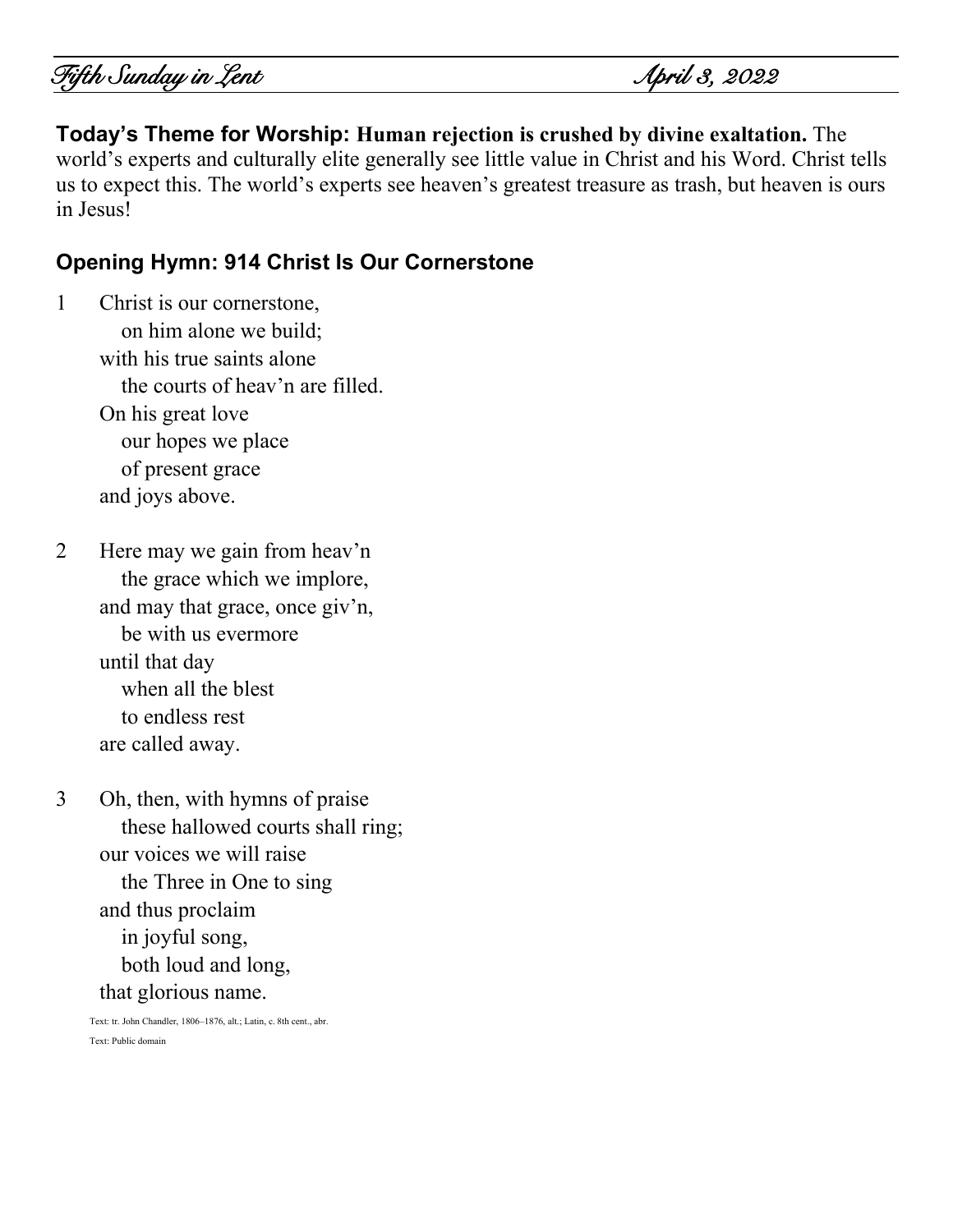**Today's Theme for Worship: Human rejection is crushed by divine exaltation.** The world's experts and culturally elite generally see little value in Christ and his Word. Christ tells us to expect this. The world's experts see heaven's greatest treasure as trash, but heaven is ours in Jesus!

### **Opening Hymn: 914 Christ Is Our Cornerstone**

1 Christ is our cornerstone, on him alone we build; with his true saints alone the courts of heav'n are filled. On his great love our hopes we place of present grace and joys above.

2 Here may we gain from heav'n the grace which we implore, and may that grace, once giv'n, be with us evermore until that day when all the blest to endless rest are called away.

3 Oh, then, with hymns of praise these hallowed courts shall ring; our voices we will raise the Three in One to sing and thus proclaim in joyful song, both loud and long, that glorious name.

Text: tr. John Chandler, 1806–1876, alt.; Latin, c. 8th cent., abr. Text: Public domain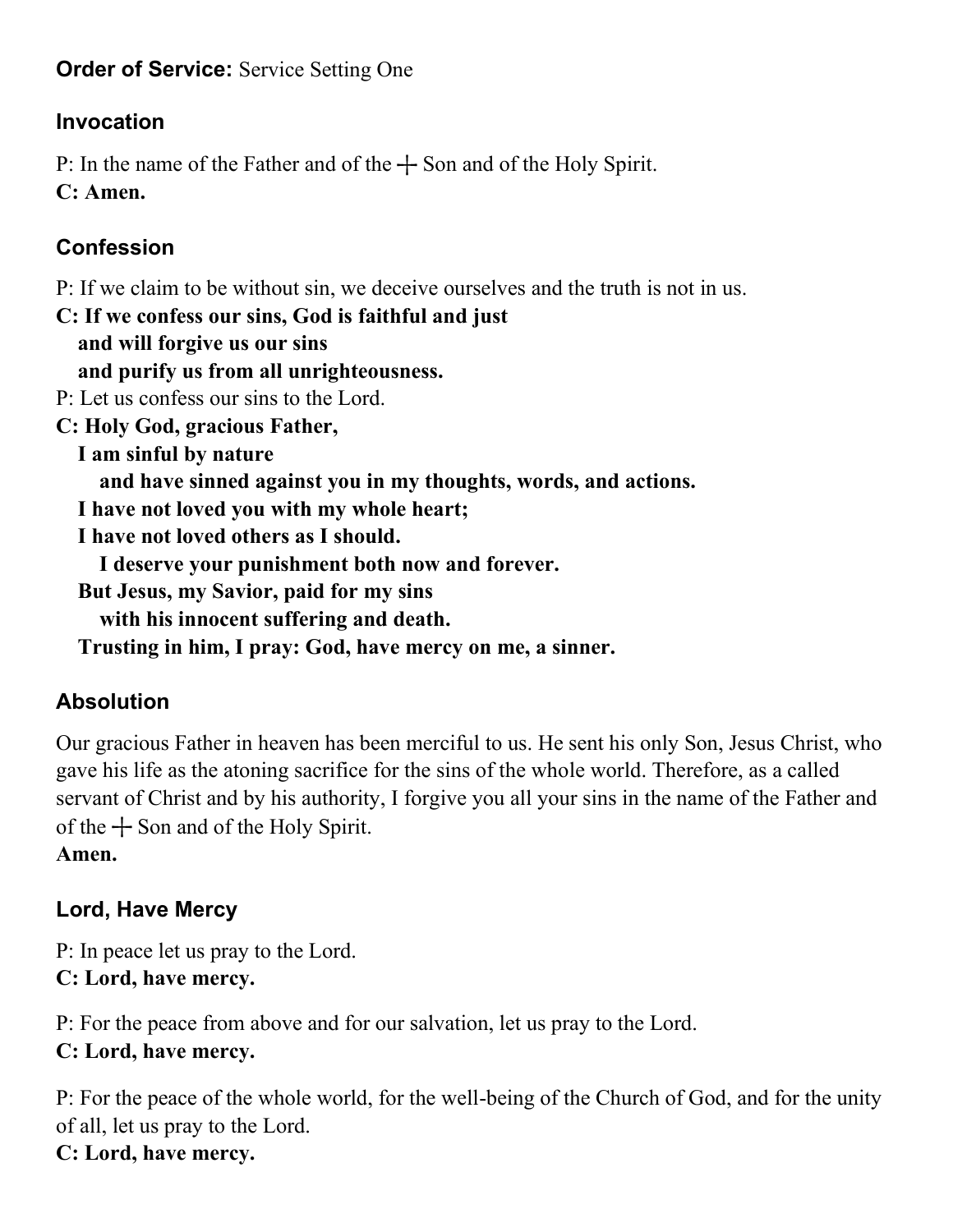### **Order of Service:** Service Setting One

# **Invocation**

P: In the name of the Father and of the  $+$  Son and of the Holy Spirit. **C: Amen.**

# **Confession**

P: If we claim to be without sin, we deceive ourselves and the truth is not in us.

**C: If we confess our sins, God is faithful and just and will forgive us our sins and purify us from all unrighteousness.** P: Let us confess our sins to the Lord. **C: Holy God, gracious Father, I am sinful by nature and have sinned against you in my thoughts, words, and actions. I have not loved you with my whole heart; I have not loved others as I should. I deserve your punishment both now and forever. But Jesus, my Savior, paid for my sins with his innocent suffering and death. Trusting in him, I pray: God, have mercy on me, a sinner.**

# **Absolution**

Our gracious Father in heaven has been merciful to us. He sent his only Son, Jesus Christ, who gave his life as the atoning sacrifice for the sins of the whole world. Therefore, as a called servant of Christ and by his authority, I forgive you all your sins in the name of the Father and of the  $+$  Son and of the Holy Spirit.

### **Amen.**

# **Lord, Have Mercy**

P: In peace let us pray to the Lord. **C: Lord, have mercy.**

P: For the peace from above and for our salvation, let us pray to the Lord. **C: Lord, have mercy.**

P: For the peace of the whole world, for the well-being of the Church of God, and for the unity of all, let us pray to the Lord. **C: Lord, have mercy.**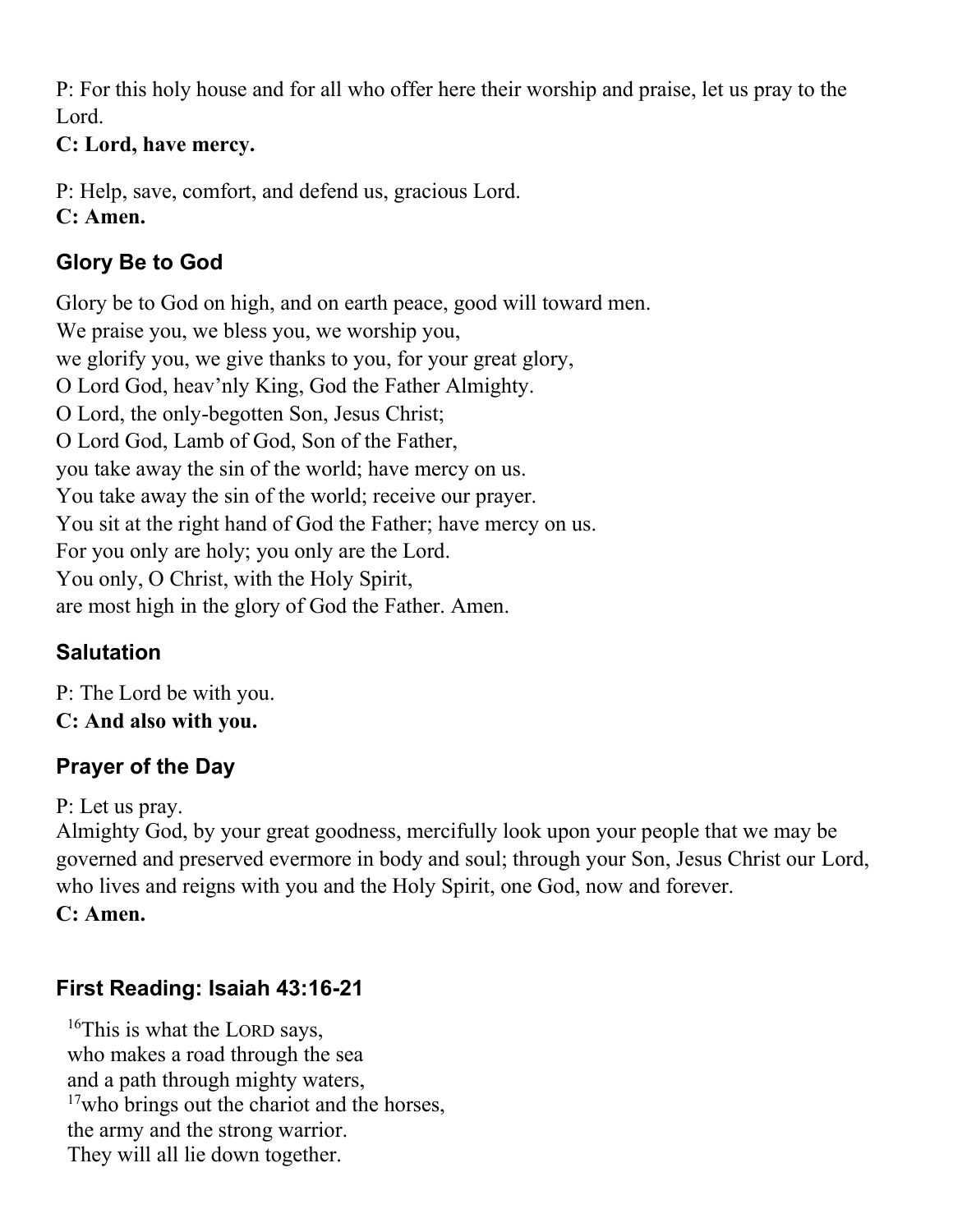P: For this holy house and for all who offer here their worship and praise, let us pray to the Lord.

### **C: Lord, have mercy.**

P: Help, save, comfort, and defend us, gracious Lord. **C: Amen.**

# **Glory Be to God**

Glory be to God on high, and on earth peace, good will toward men. We praise you, we bless you, we worship you, we glorify you, we give thanks to you, for your great glory, O Lord God, heav'nly King, God the Father Almighty. O Lord, the only-begotten Son, Jesus Christ; O Lord God, Lamb of God, Son of the Father, you take away the sin of the world; have mercy on us. You take away the sin of the world; receive our prayer. You sit at the right hand of God the Father; have mercy on us. For you only are holy; you only are the Lord. You only, O Christ, with the Holy Spirit, are most high in the glory of God the Father. Amen.

# **Salutation**

P: The Lord be with you. **C: And also with you.**

# **Prayer of the Day**

P: Let us pray.

Almighty God, by your great goodness, mercifully look upon your people that we may be governed and preserved evermore in body and soul; through your Son, Jesus Christ our Lord, who lives and reigns with you and the Holy Spirit, one God, now and forever. **C: Amen.**

# **First Reading: Isaiah 43:16-21**

<sup>16</sup>This is what the LORD says, who makes a road through the sea and a path through mighty waters, <sup>17</sup>who brings out the chariot and the horses, the army and the strong warrior. They will all lie down together.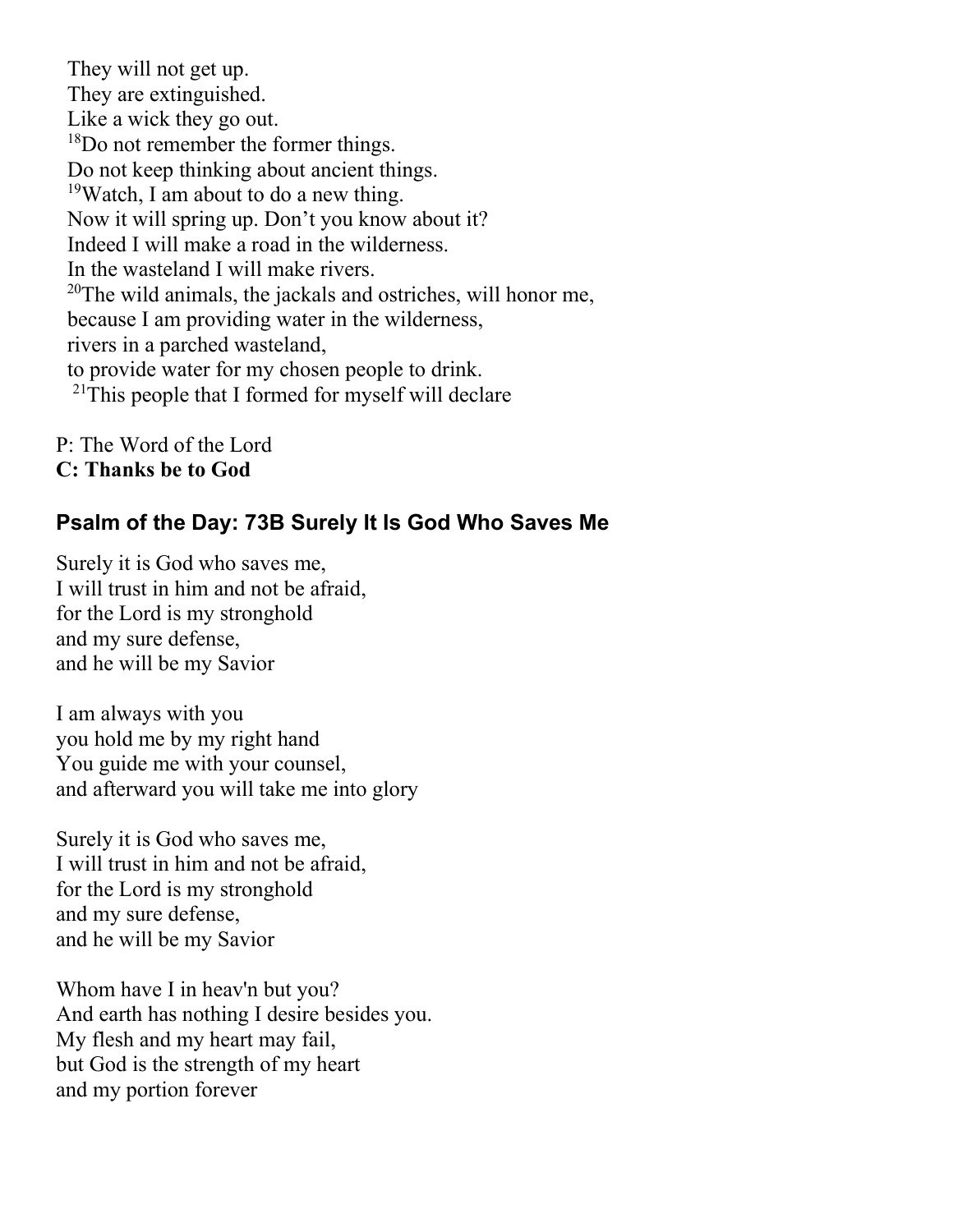They will not get up. They are extinguished. Like a wick they go out. <sup>18</sup>Do not remember the former things. Do not keep thinking about ancient things. <sup>19</sup>Watch, I am about to do a new thing. Now it will spring up. Don't you know about it? Indeed I will make a road in the wilderness. In the wasteland I will make rivers.  $20$ The wild animals, the jackals and ostriches, will honor me, because I am providing water in the wilderness, rivers in a parched wasteland, to provide water for my chosen people to drink.  $21$ This people that I formed for myself will declare

P: The Word of the Lord **C: Thanks be to God**

### **Psalm of the Day: 73B Surely It Is God Who Saves Me**

Surely it is God who saves me, I will trust in him and not be afraid, for the Lord is my stronghold and my sure defense, and he will be my Savior

I am always with you you hold me by my right hand You guide me with your counsel, and afterward you will take me into glory

Surely it is God who saves me, I will trust in him and not be afraid, for the Lord is my stronghold and my sure defense, and he will be my Savior

Whom have I in heav'n but you? And earth has nothing I desire besides you. My flesh and my heart may fail, but God is the strength of my heart and my portion forever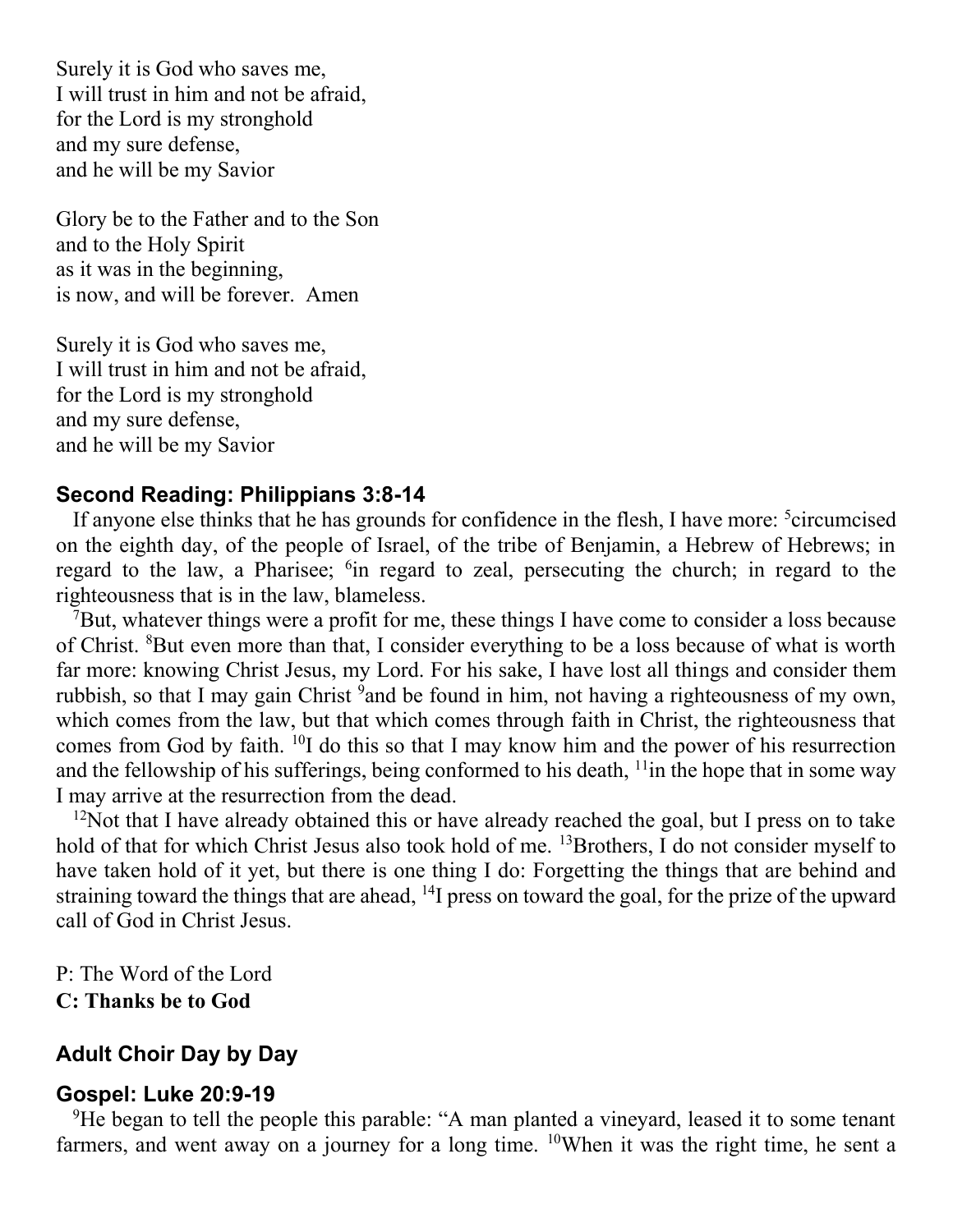Surely it is God who saves me, I will trust in him and not be afraid, for the Lord is my stronghold and my sure defense, and he will be my Savior

Glory be to the Father and to the Son and to the Holy Spirit as it was in the beginning, is now, and will be forever. Amen

Surely it is God who saves me, I will trust in him and not be afraid, for the Lord is my stronghold and my sure defense, and he will be my Savior

#### **Second Reading: Philippians 3:8-14**

If anyone else thinks that he has grounds for confidence in the flesh, I have more: <sup>5</sup>circumcised on the eighth day, of the people of Israel, of the tribe of Benjamin, a Hebrew of Hebrews; in regard to the law, a Pharisee; <sup>6</sup>in regard to zeal, persecuting the church; in regard to the righteousness that is in the law, blameless.

<sup>7</sup>But, whatever things were a profit for me, these things I have come to consider a loss because of Christ. <sup>8</sup>But even more than that, I consider everything to be a loss because of what is worth far more: knowing Christ Jesus, my Lord. For his sake, I have lost all things and consider them rubbish, so that I may gain Christ <sup>9</sup>and be found in him, not having a righteousness of my own, which comes from the law, but that which comes through faith in Christ, the righteousness that comes from God by faith. <sup>10</sup>I do this so that I may know him and the power of his resurrection and the fellowship of his sufferings, being conformed to his death,  $\frac{11}{11}$  in the hope that in some way I may arrive at the resurrection from the dead.

 $12$ Not that I have already obtained this or have already reached the goal, but I press on to take hold of that for which Christ Jesus also took hold of me. <sup>13</sup>Brothers, I do not consider myself to have taken hold of it yet, but there is one thing I do: Forgetting the things that are behind and straining toward the things that are ahead, <sup>14</sup>I press on toward the goal, for the prize of the upward call of God in Christ Jesus.

P: The Word of the Lord **C: Thanks be to God**

#### **Adult Choir Day by Day**

#### **Gospel: Luke 20:9-19**

<sup>9</sup>He began to tell the people this parable: "A man planted a vineyard, leased it to some tenant farmers, and went away on a journey for a long time. <sup>10</sup>When it was the right time, he sent a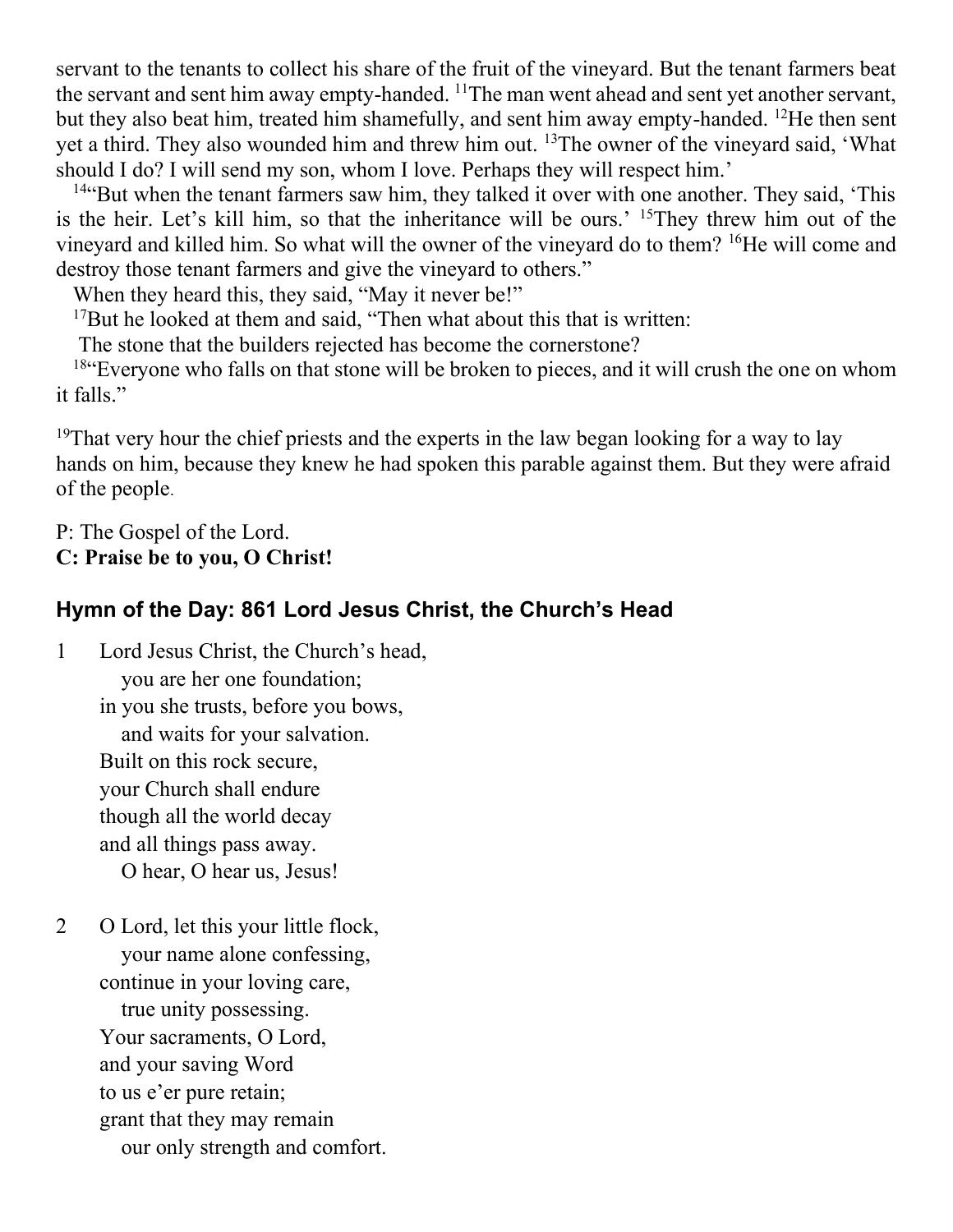servant to the tenants to collect his share of the fruit of the vineyard. But the tenant farmers beat the servant and sent him away empty-handed.  $11$ The man went ahead and sent yet another servant, but they also beat him, treated him shamefully, and sent him away empty-handed. <sup>12</sup>He then sent yet a third. They also wounded him and threw him out. <sup>13</sup>The owner of the vineyard said, 'What should I do? I will send my son, whom I love. Perhaps they will respect him.'

<sup>14"</sup>But when the tenant farmers saw him, they talked it over with one another. They said, 'This is the heir. Let's kill him, so that the inheritance will be ours.' <sup>15</sup>They threw him out of the vineyard and killed him. So what will the owner of the vineyard do to them? <sup>16</sup>He will come and destroy those tenant farmers and give the vineyard to others."

When they heard this, they said, "May it never be!"

 $17$ But he looked at them and said. "Then what about this that is written:

The stone that the builders rejected has become the cornerstone?

<sup>18"</sup>Everyone who falls on that stone will be broken to pieces, and it will crush the one on whom it falls."

<sup>19</sup>That very hour the chief priests and the experts in the law began looking for a way to lay hands on him, because they knew he had spoken this parable against them. But they were afraid of the people.

P: The Gospel of the Lord.

**C: Praise be to you, O Christ!** 

# **Hymn of the Day: 861 Lord Jesus Christ, the Church's Head**

- 1 Lord Jesus Christ, the Church's head, you are her one foundation; in you she trusts, before you bows, and waits for your salvation. Built on this rock secure, your Church shall endure though all the world decay and all things pass away. O hear, O hear us, Jesus!
- 2 O Lord, let this your little flock, your name alone confessing, continue in your loving care, true unity possessing. Your sacraments, O Lord, and your saving Word to us e'er pure retain; grant that they may remain our only strength and comfort.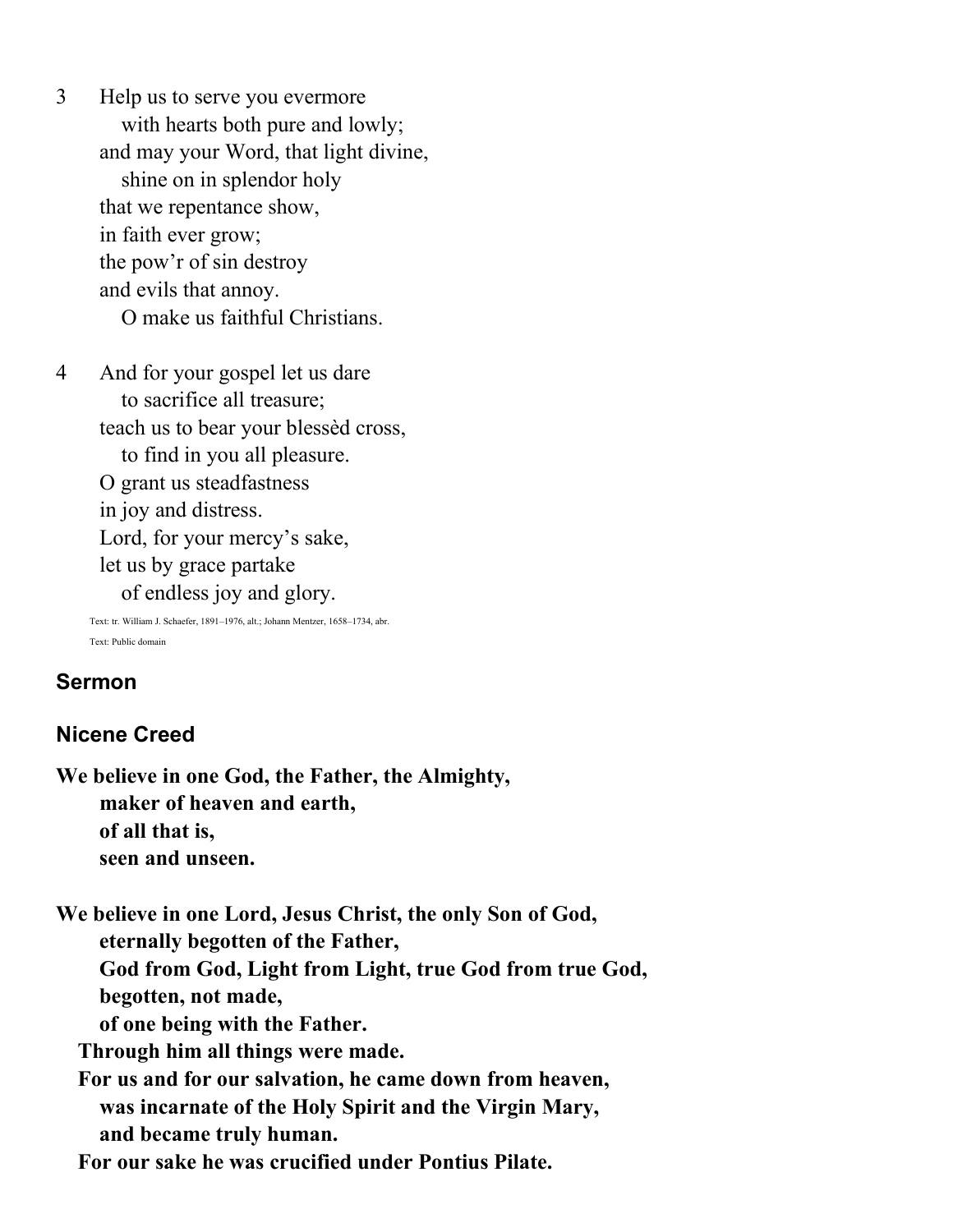3 Help us to serve you evermore with hearts both pure and lowly; and may your Word, that light divine, shine on in splendor holy that we repentance show, in faith ever grow; the pow'r of sin destroy and evils that annoy. O make us faithful Christians.

4 And for your gospel let us dare to sacrifice all treasure; teach us to bear your blessèd cross, to find in you all pleasure. O grant us steadfastness in joy and distress. Lord, for your mercy's sake, let us by grace partake of endless joy and glory.

> Text: tr. William J. Schaefer, 1891–1976, alt.; Johann Mentzer, 1658–1734, abr. Text: Public domain

#### **Sermon**

#### **Nicene Creed**

**We believe in one God, the Father, the Almighty, maker of heaven and earth, of all that is, seen and unseen.**

**We believe in one Lord, Jesus Christ, the only Son of God, eternally begotten of the Father, God from God, Light from Light, true God from true God, begotten, not made, of one being with the Father. Through him all things were made. For us and for our salvation, he came down from heaven, was incarnate of the Holy Spirit and the Virgin Mary, and became truly human.**

 **For our sake he was crucified under Pontius Pilate.**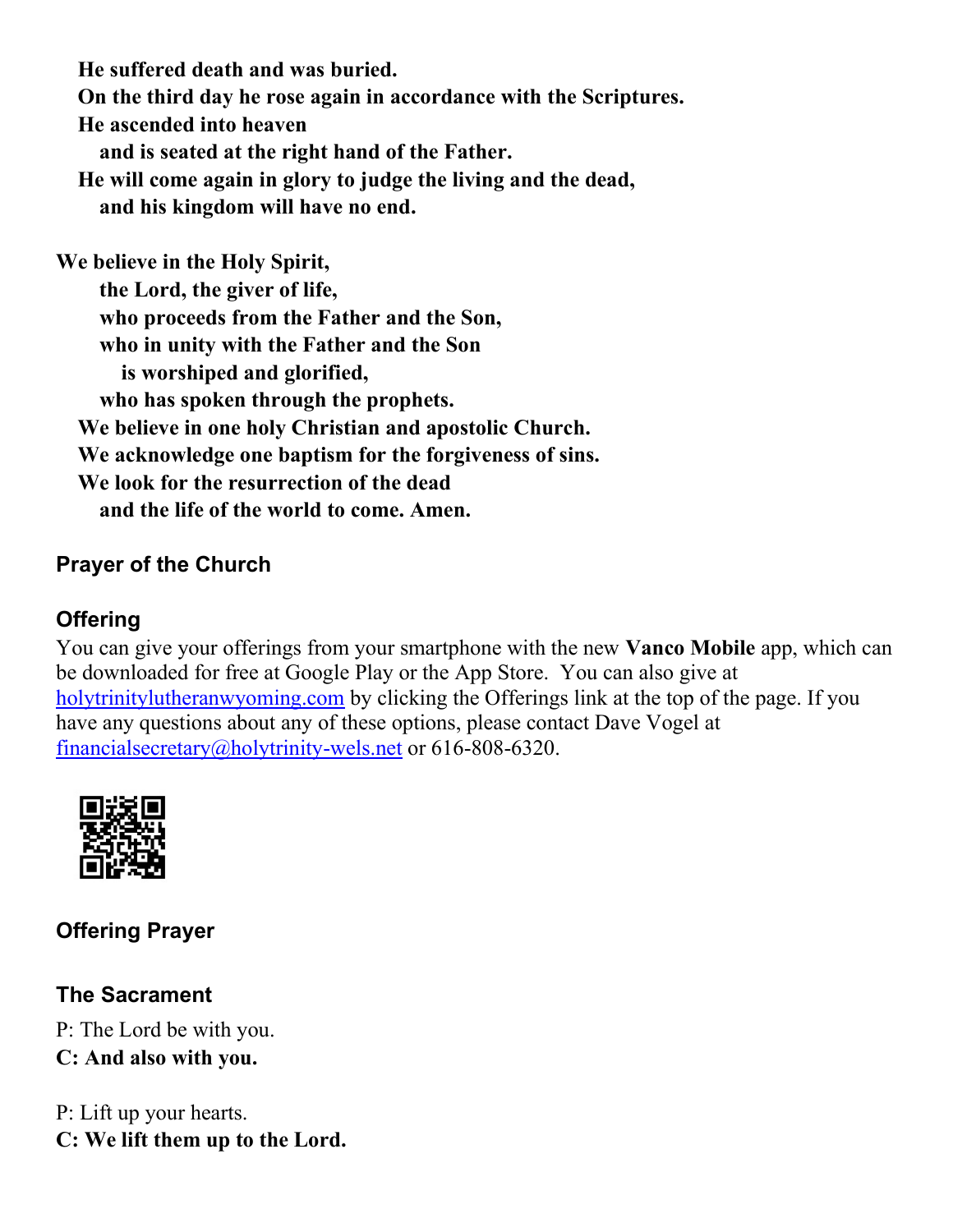**He suffered death and was buried. On the third day he rose again in accordance with the Scriptures. He ascended into heaven and is seated at the right hand of the Father. He will come again in glory to judge the living and the dead, and his kingdom will have no end.**

**We believe in the Holy Spirit, the Lord, the giver of life, who proceeds from the Father and the Son, who in unity with the Father and the Son is worshiped and glorified, who has spoken through the prophets. We believe in one holy Christian and apostolic Church. We acknowledge one baptism for the forgiveness of sins. We look for the resurrection of the dead and the life of the world to come. Amen.**

### **Prayer of the Church**

### **Offering**

You can give your offerings from your smartphone with the new **Vanco Mobile** app, which can be downloaded for free at Google Play or the App Store. You can also give at [holytrinitylutheranwyoming.com](http://holytrinitylutheranwyoming.com/) by clicking the Offerings link at the top of the page. If you have any questions about any of these options, please contact Dave Vogel at [financialsecretary@holytrinity-wels.net](mailto:financialsecretary@holytrinity-wels.net) or 616-808-6320.



**Offering Prayer**

### **The Sacrament**

P: The Lord be with you. **C: And also with you.**

P: Lift up your hearts. **C: We lift them up to the Lord.**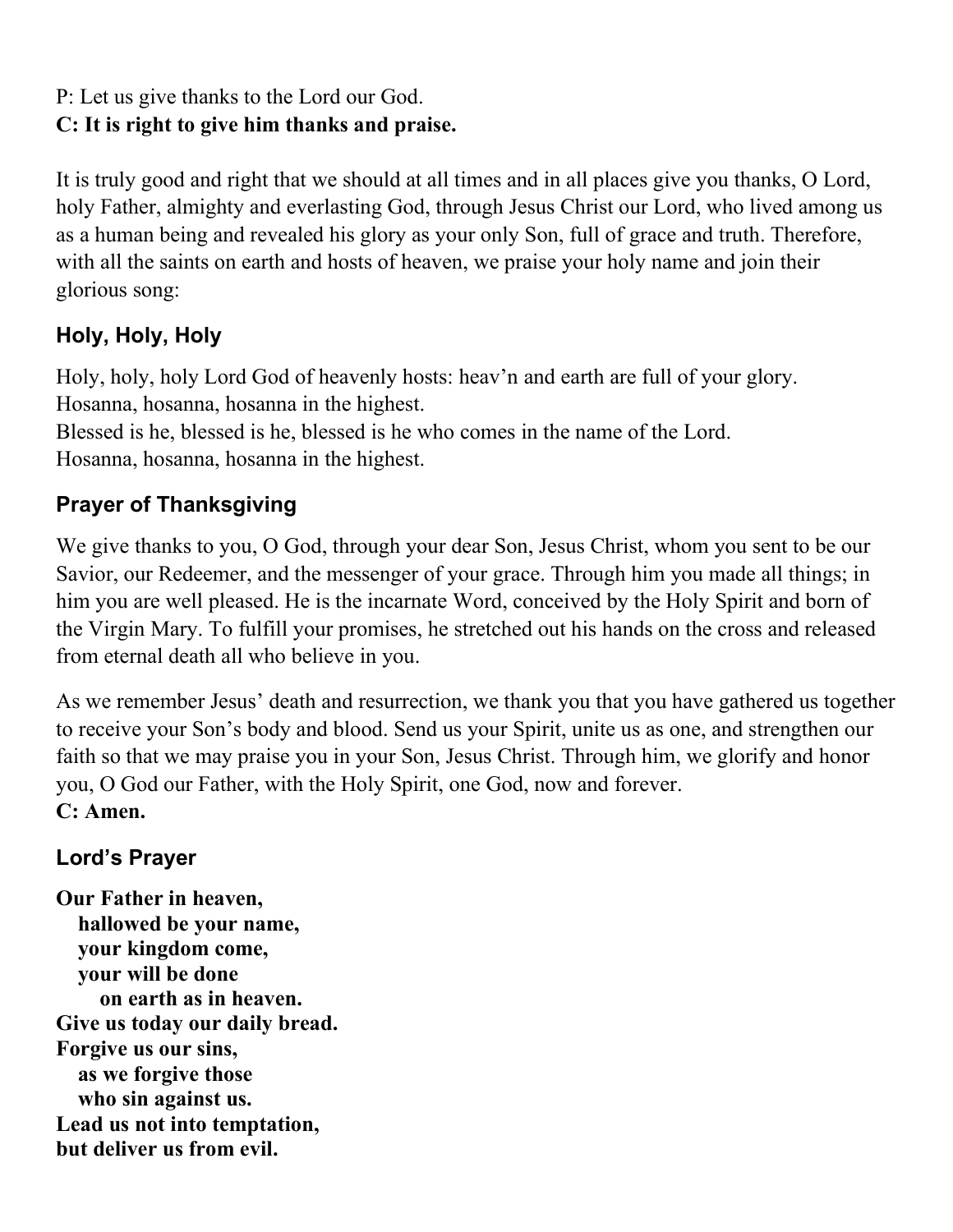# P: Let us give thanks to the Lord our God.

# **C: It is right to give him thanks and praise.**

It is truly good and right that we should at all times and in all places give you thanks, O Lord, holy Father, almighty and everlasting God, through Jesus Christ our Lord, who lived among us as a human being and revealed his glory as your only Son, full of grace and truth. Therefore, with all the saints on earth and hosts of heaven, we praise your holy name and join their glorious song:

# **Holy, Holy, Holy**

Holy, holy, holy Lord God of heavenly hosts: heav'n and earth are full of your glory. Hosanna, hosanna, hosanna in the highest.

Blessed is he, blessed is he, blessed is he who comes in the name of the Lord. Hosanna, hosanna, hosanna in the highest.

# **Prayer of Thanksgiving**

We give thanks to you, O God, through your dear Son, Jesus Christ, whom you sent to be our Savior, our Redeemer, and the messenger of your grace. Through him you made all things; in him you are well pleased. He is the incarnate Word, conceived by the Holy Spirit and born of the Virgin Mary. To fulfill your promises, he stretched out his hands on the cross and released from eternal death all who believe in you.

As we remember Jesus' death and resurrection, we thank you that you have gathered us together to receive your Son's body and blood. Send us your Spirit, unite us as one, and strengthen our faith so that we may praise you in your Son, Jesus Christ. Through him, we glorify and honor you, O God our Father, with the Holy Spirit, one God, now and forever. **C: Amen.**

# **Lord's Prayer**

**Our Father in heaven, hallowed be your name, your kingdom come, your will be done on earth as in heaven. Give us today our daily bread. Forgive us our sins, as we forgive those who sin against us. Lead us not into temptation, but deliver us from evil.**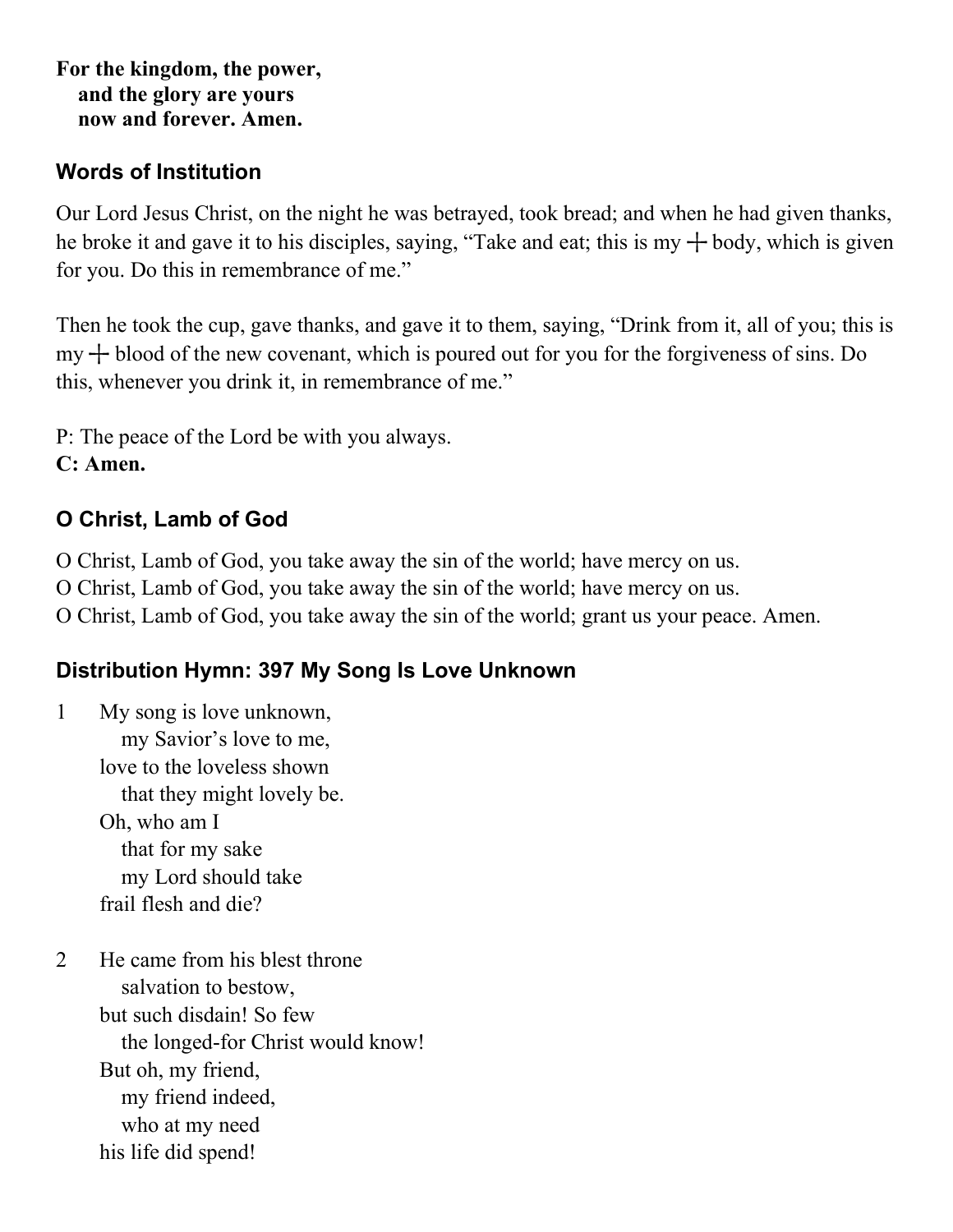**For the kingdom, the power, and the glory are yours now and forever. Amen.**

#### **Words of Institution**

Our Lord Jesus Christ, on the night he was betrayed, took bread; and when he had given thanks, he broke it and gave it to his disciples, saying, "Take and eat; this is my  $+$  body, which is given for you. Do this in remembrance of me."

Then he took the cup, gave thanks, and gave it to them, saying, "Drink from it, all of you; this is  $my + blood of the new covenant, which is poured out for you for the for giveness of sins. Do$ this, whenever you drink it, in remembrance of me."

P: The peace of the Lord be with you always. **C: Amen.**

### **O Christ, Lamb of God**

O Christ, Lamb of God, you take away the sin of the world; have mercy on us. O Christ, Lamb of God, you take away the sin of the world; have mercy on us.

O Christ, Lamb of God, you take away the sin of the world; grant us your peace. Amen.

# **Distribution Hymn: 397 My Song Is Love Unknown**

- 1 My song is love unknown, my Savior's love to me, love to the loveless shown that they might lovely be. Oh, who am I that for my sake my Lord should take frail flesh and die?
- 2 He came from his blest throne salvation to bestow, but such disdain! So few the longed-for Christ would know! But oh, my friend, my friend indeed, who at my need his life did spend!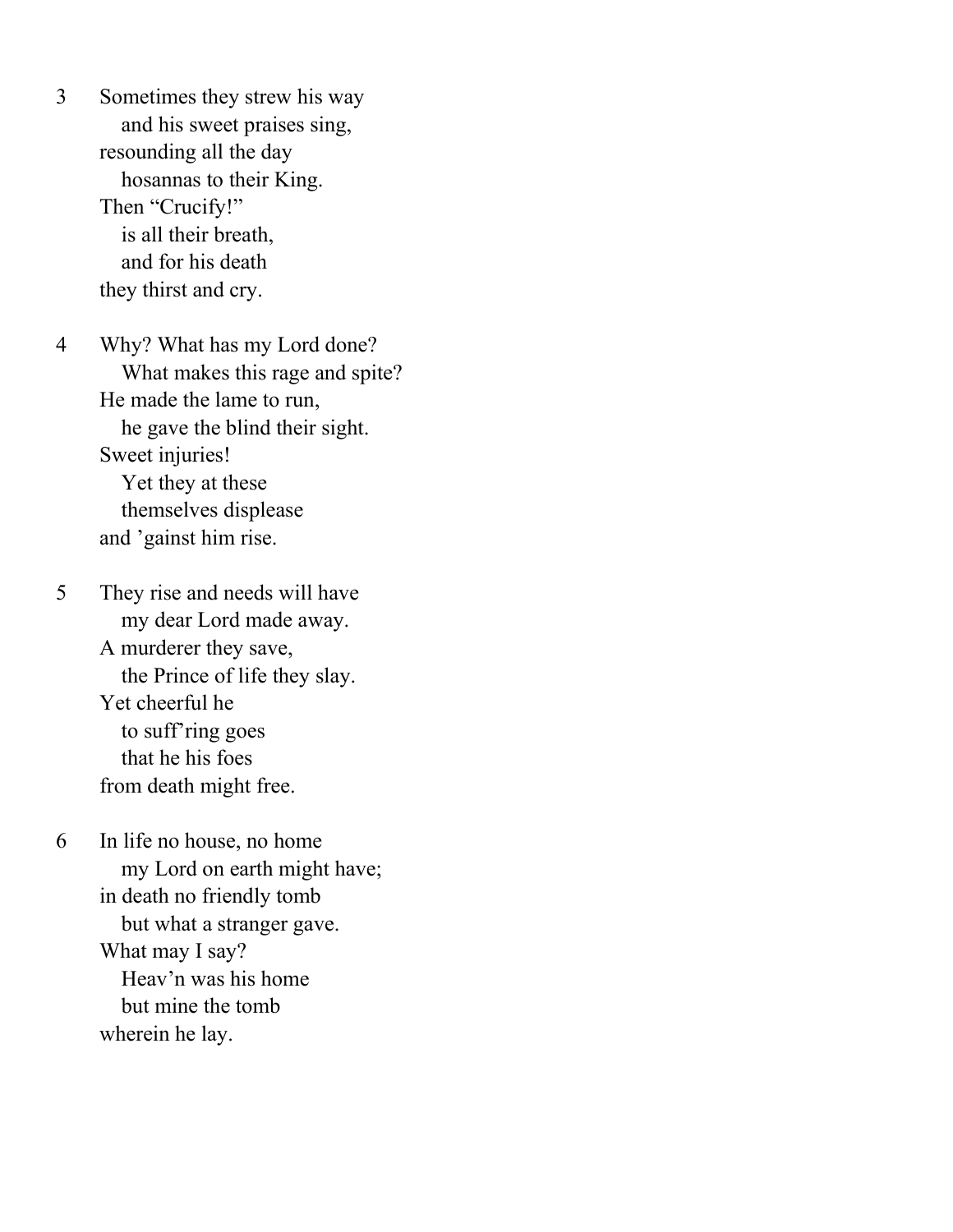3 Sometimes they strew his way and his sweet praises sing, resounding all the day hosannas to their King. Then "Crucify!" is all their breath, and for his death they thirst and cry.

4 Why? What has my Lord done? What makes this rage and spite? He made the lame to run, he gave the blind their sight. Sweet injuries! Yet they at these themselves displease and 'gainst him rise.

5 They rise and needs will have my dear Lord made away. A murderer they save, the Prince of life they slay. Yet cheerful he to suff'ring goes that he his foes from death might free.

6 In life no house, no home my Lord on earth might have; in death no friendly tomb but what a stranger gave. What may I say? Heav'n was his home but mine the tomb wherein he lay.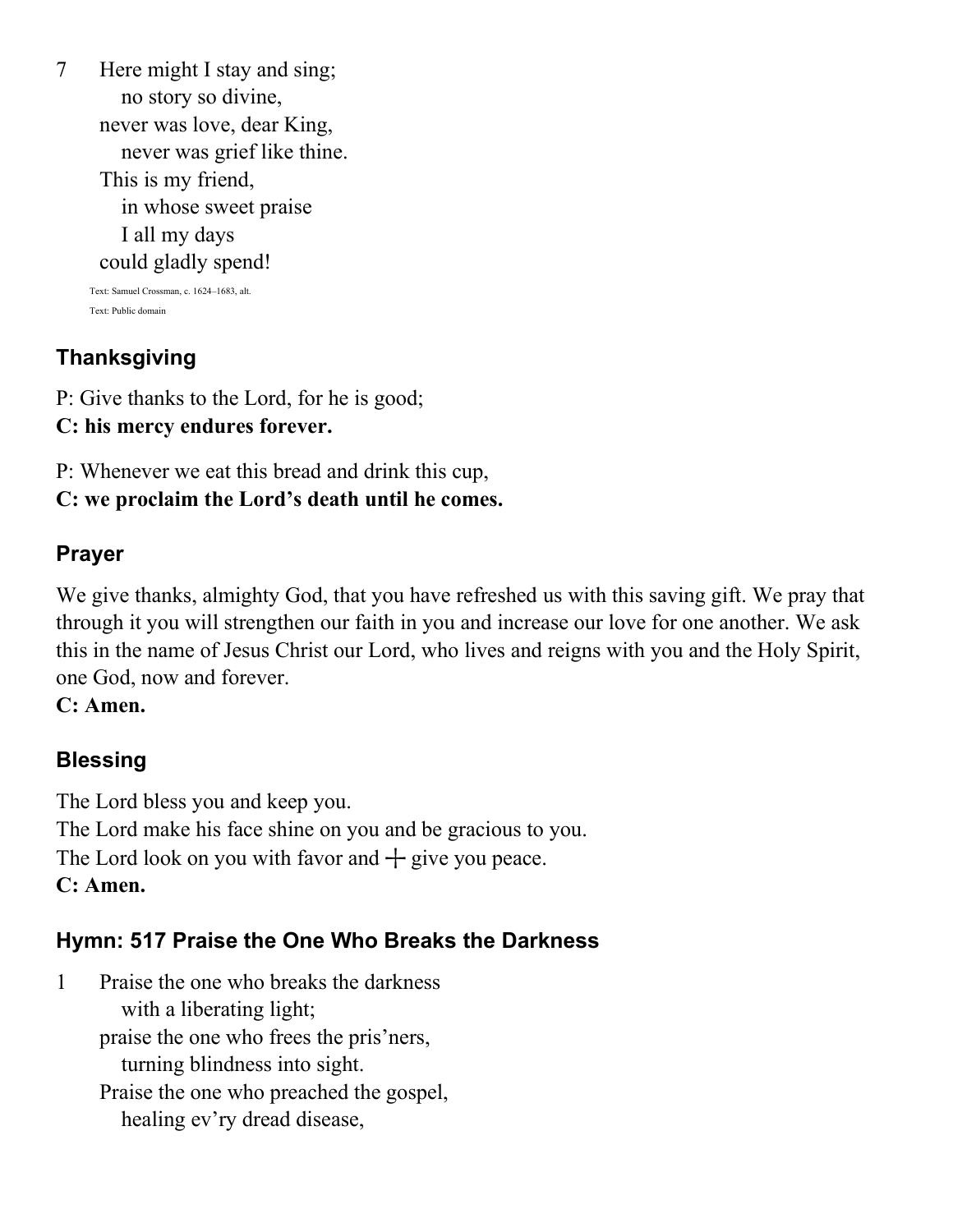7 Here might I stay and sing; no story so divine, never was love, dear King, never was grief like thine. This is my friend, in whose sweet praise I all my days could gladly spend! Text: Samuel Crossman, c. 1624–1683, alt. Text: Public domain

# **Thanksgiving**

P: Give thanks to the Lord, for he is good; **C: his mercy endures forever.**

P: Whenever we eat this bread and drink this cup,

#### **C: we proclaim the Lord's death until he comes.**

#### **Prayer**

We give thanks, almighty God, that you have refreshed us with this saving gift. We pray that through it you will strengthen our faith in you and increase our love for one another. We ask this in the name of Jesus Christ our Lord, who lives and reigns with you and the Holy Spirit, one God, now and forever.

**C: Amen.**

### **Blessing**

The Lord bless you and keep you. The Lord make his face shine on you and be gracious to you. The Lord look on you with favor and  $+$  give you peace. **C: Amen.**

### **Hymn: 517 Praise the One Who Breaks the Darkness**

1 Praise the one who breaks the darkness with a liberating light; praise the one who frees the pris'ners, turning blindness into sight. Praise the one who preached the gospel, healing ev'ry dread disease,